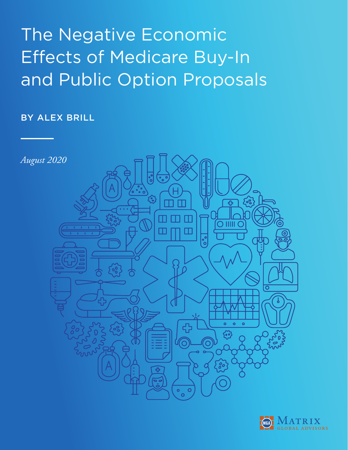# The Negative Economic Effects of Medicare Buy-In and Public Option Proposals

## BY ALEX BRILL



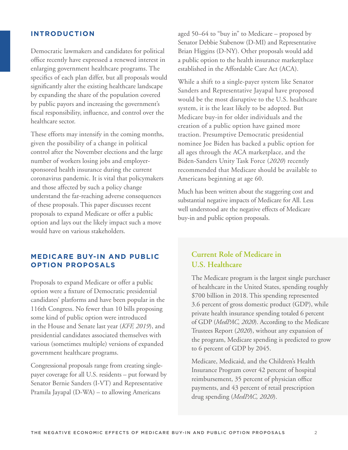#### **INTRODUCTION**

Democratic lawmakers and candidates for political office recently have expressed a renewed interest in enlarging government healthcare programs. The specifics of each plan differ, but all proposals would significantly alter the existing healthcare landscape by expanding the share of the population covered by public payors and increasing the government's fiscal responsibility, influence, and control over the healthcare sector.

These efforts may intensify in the coming months, given the possibility of a change in political control after the November elections and the large number of workers losing jobs and employersponsored health insurance during the current coronavirus pandemic. It is vital that policymakers and those affected by such a policy change understand the far-reaching adverse consequences of these proposals. This paper discusses recent proposals to expand Medicare or offer a public option and lays out the likely impact such a move would have on various stakeholders.

## **MEDICARE BUY-IN AND PUBLIC OPTION PROPOSALS**

Proposals to expand Medicare or offer a public option were a fixture of Democratic presidential candidates' platforms and have been popular in the 116th Congress. No fewer than 10 bills proposing some kind of public option were introduced in the House and Senate last year (*KFF, 2019*), and presidential candidates associated themselves with various (sometimes multiple) versions of expanded government healthcare programs.

Congressional proposals range from creating singlepayer coverage for all U.S. residents – put forward by Senator Bernie Sanders (I-VT) and Representative Pramila Jayapal (D-WA) – to allowing Americans

aged 50–64 to "buy in" to Medicare – proposed by Senator Debbie Stabenow (D-MI) and Representative Brian Higgins (D-NY). Other proposals would add a public option to the health insurance marketplace established in the Affordable Care Act (ACA).

While a shift to a single-payer system like Senator Sanders and Representative Jayapal have proposed would be the most disruptive to the U.S. healthcare system, it is the least likely to be adopted. But Medicare buy-in for older individuals and the creation of a public option have gained more traction. Presumptive Democratic presidential nominee Joe Biden has backed a public option for all ages through the ACA marketplace, and the Biden-Sanders Unity Task Force (*2020*) recently recommended that Medicare should be available to Americans beginning at age 60.

Much has been written about the staggering cost and substantial negative impacts of Medicare for All. Less well understood are the negative effects of Medicare buy-in and public option proposals.

## **Current Role of Medicare in U.S. Healthcare**

The Medicare program is the largest single purchaser of healthcare in the United States, spending roughly \$700 billion in 2018. This spending represented 3.6 percent of gross domestic product (GDP), while private health insurance spending totaled 6 percent of GDP (*MedPAC, 2020*). According to the Medicare Trustees Report (*2020*), without any expansion of the program, Medicare spending is predicted to grow to 6 percent of GDP by 2045.

Medicare, Medicaid, and the Children's Health Insurance Program cover 42 percent of hospital reimbursement, 35 percent of physician office payments, and 43 percent of retail prescription drug spending (*MedPAC, 2020*).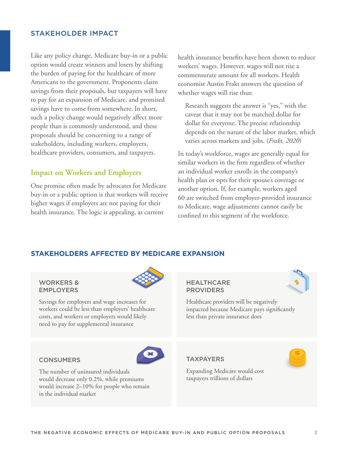#### STAKEHOLDER IMPACT

Like any policy change, Medicare buy-in or a public option would create winners and losers by shifting the burden of paying for the healthcare of more Americans to the government. Proponents claim savings from their proposals, but taxpayers will have to pay for an expansion of Medicare, and promised savings have to come from somewhere. In short, such a policy change would negatively affect more people than is commonly understood, and these proposals should be concerning to a range of stakeholders, including workers, employers, healthcare providers, consumers, and taxpayers.

#### **Impact on Workers and Employers**

One promise often made by advocates for Medicare buy-in or a public option is that workers will receive higher wages if employers are not paying for their health insurance. The logic is appealing, as current

health insurance benefits have been shown to reduce workers' wages. However, wages will not rise a commensurate amount for all workers. Health economist Austin Frakt answers the question of whether wages will rise thus:

 Research suggests the answer is "yes," with the caveat that it may not be matched dollar for dollar for everyone. The precise relationship depends on the nature of the labor market, which varies across markets and jobs. (*Frakt, 2020*)

In today's workforce, wages are generally equal for similar workers in the firm regardless of whether an individual worker enrolls in the company's health plan or opts for their spouse's coverage or another option. If, for example, workers aged 60 are switched from employer-provided insurance to Medicare, wage adjustments cannot easily be confined to this segment of the workforce.

#### **STAKEHOLDERS AFFECTED BY MEDICARE EXPANSION**

#### WORKERS & EMPLOYERS

Savings for employers and wage increases for workers could be less than employers' healthcare costs, and workers or employers would likely need to pay for supplemental insurance

#### **HEALTHCARE** PROVIDERS

Healthcare providers will be negatively impacted because Medicare pays significantly less than private insurance does

#### **TAXPAYERS**



Expanding Medicare would cost taxpayers trillions of dollars

#### **CONSUMERS**

The number of uninsured individuals would decrease only 0.2%, while premiums would increase 2–10% for people who remain in the individual market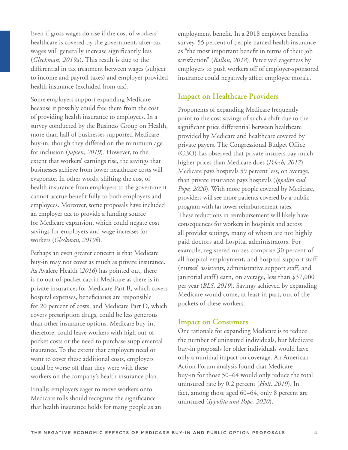Even if gross wages do rise if the cost of workers' healthcare is covered by the government, after-tax wages will generally increase significantly less (*Gleckman, 2019a*). This result is due to the differential in tax treatment between wages (subject to income and payroll taxes) and employer-provided health insurance (excluded from tax).

Some employers support expanding Medicare because it possibly could free them from the cost of providing health insurance to employees. In a survey conducted by the Business Group on Health, more than half of businesses supported Medicare buy-in, though they differed on the minimum age for inclusion (*Japsen, 2019*). However, to the extent that workers' earnings rise, the savings that businesses achieve from lower healthcare costs will evaporate. In other words, shifting the cost of health insurance from employers to the government cannot accrue benefit fully to both employers and employees. Moreover, some proposals have included an employer tax to provide a funding source for Medicare expansion, which could negate cost savings for employers and wage increases for workers (*Gleckman, 2019b*).

Perhaps an even greater concern is that Medicare buy-in may not cover as much as private insurance. As Avalere Health (*2016*) has pointed out, there is no out-of-pocket cap in Medicare as there is in private insurance; for Medicare Part B, which covers hospital expenses, beneficiaries are responsible for 20 percent of costs; and Medicare Part D, which covers prescription drugs, could be less generous than other insurance options. Medicare buy-in, therefore, could leave workers with high out-ofpocket costs or the need to purchase supplemental insurance. To the extent that employers need or want to cover these additional costs, employers could be worse off than they were with these workers on the company's health insurance plan.

Finally, employers eager to move workers onto Medicare rolls should recognize the significance that health insurance holds for many people as an employment benefit. In a 2018 employee benefits survey, 55 percent of people named health insurance as "the most important benefit in terms of their job satisfaction" (*Ballou, 2018*). Perceived eagerness by employers to push workers off of employer-sponsored insurance could negatively affect employee morale.

## **Impact on Healthcare Providers**

Proponents of expanding Medicare frequently point to the cost savings of such a shift due to the significant price differential between healthcare provided by Medicare and healthcare covered by private payers. The Congressional Budget Office (CBO) has observed that private insurers pay much higher prices than Medicare does (*Pelech, 2017*). Medicare pays hospitals 59 percent less, on average, than private insurance pays hospitals (*Ippolito and Pope, 2020*). With more people covered by Medicare, providers will see more patients covered by a public program with far lower reimbursement rates. These reductions in reimbursement will likely have consequences for workers in hospitals and across all provider settings, many of whom are not highly paid doctors and hospital administrators. For example, registered nurses comprise 30 percent of all hospital employment, and hospital support staff (nurses' assistants, administrative support staff, and janitorial staff) earn, on average, less than \$37,000 per year (*BLS, 2019*). Savings achieved by expanding Medicare would come, at least in part, out of the pockets of these workers.

#### **Impact on Consumers**

One rationale for expanding Medicare is to reduce the number of uninsured individuals, but Medicare buy-in proposals for older individuals would have only a minimal impact on coverage. An American Action Forum analysis found that Medicare buy-in for those 50–64 would only reduce the total uninsured rate by 0.2 percent (*Holt, 2019*). In fact, among those aged 60–64, only 8 percent are uninsured (*Ippolito and Pope, 2020*).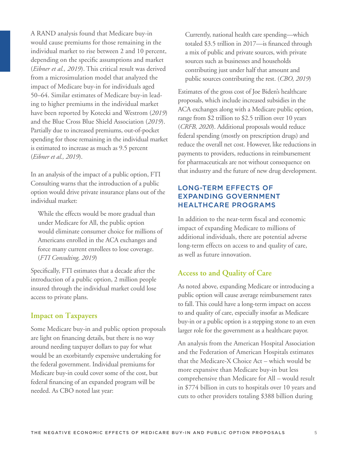A RAND analysis found that Medicare buy-in would cause premiums for those remaining in the individual market to rise between 2 and 10 percent, depending on the specific assumptions and market (*Eibner et al., 2019*). This critical result was derived from a microsimulation model that analyzed the impact of Medicare buy-in for individuals aged 50–64. Similar estimates of Medicare buy-in leading to higher premiums in the individual market have been reported by Kotecki and Westrom (*2019*) and the Blue Cross Blue Shield Association (*2019*). Partially due to increased premiums, out-of-pocket spending for those remaining in the individual market is estimated to increase as much as 9.5 percent (*Eibner et al., 2019*).

In an analysis of the impact of a public option, FTI Consulting warns that the introduction of a public option would drive private insurance plans out of the individual market:

 While the effects would be more gradual than under Medicare for All, the public option would eliminate consumer choice for millions of Americans enrolled in the ACA exchanges and force many current enrollees to lose coverage. (*FTI Consulting, 2019*)

Specifically, FTI estimates that a decade after the introduction of a public option, 2 million people insured through the individual market could lose access to private plans.

## **Impact on Taxpayers**

Some Medicare buy-in and public option proposals are light on financing details, but there is no way around needing taxpayer dollars to pay for what would be an exorbitantly expensive undertaking for the federal government. Individual premiums for Medicare buy-in could cover some of the cost, but federal financing of an expanded program will be needed. As CBO noted last year:

 Currently, national health care spending—which totaled \$3.5 trillion in 2017—is financed through a mix of public and private sources, with private sources such as businesses and households contributing just under half that amount and public sources contributing the rest. (*CBO, 2019*)

Estimates of the gross cost of Joe Biden's healthcare proposals, which include increased subsidies in the ACA exchanges along with a Medicare public option, range from \$2 trillion to \$2.5 trillion over 10 years (*CRFB, 2020*). Additional proposals would reduce federal spending (mostly on prescription drugs) and reduce the overall net cost. However, like reductions in payments to providers, reductions in reimbursement for pharmaceuticals are not without consequence on that industry and the future of new drug development.

## LONG-TERM EFFECTS OF EXPANDING GOVERNMENT HEALTHCARE PROGRAMS

In addition to the near-term fiscal and economic impact of expanding Medicare to millions of additional individuals, there are potential adverse long-term effects on access to and quality of care, as well as future innovation.

## **Access to and Quality of Care**

As noted above, expanding Medicare or introducing a public option will cause average reimbursement rates to fall. This could have a long-term impact on access to and quality of care, especially insofar as Medicare buy-in or a public option is a stepping stone to an even larger role for the government as a healthcare payor.

An analysis from the American Hospital Association and the Federation of American Hospitals estimates that the Medicare-X Choice Act – which would be more expansive than Medicare buy-in but less comprehensive than Medicare for All – would result in \$774 billion in cuts to hospitals over 10 years and cuts to other providers totaling \$388 billion during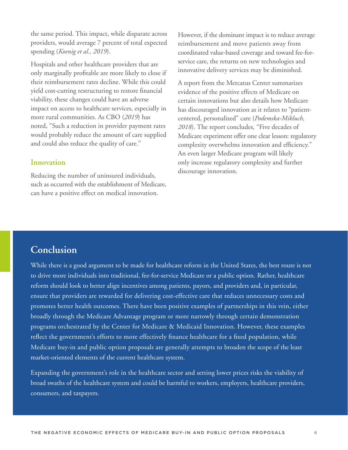the same period. This impact, while disparate across providers, would average 7 percent of total expected spending (*Koenig et al., 2019*).

Hospitals and other healthcare providers that are only marginally profitable are more likely to close if their reimbursement rates decline. While this could yield cost-cutting restructuring to restore financial viability, these changes could have an adverse impact on access to healthcare services, especially in more rural communities. As CBO (*2019*) has noted, "Such a reduction in provider payment rates would probably reduce the amount of care supplied and could also reduce the quality of care."

#### **Innovation**

Reducing the number of uninsured individuals, such as occurred with the establishment of Medicare, can have a positive effect on medical innovation.

However, if the dominant impact is to reduce average reimbursement and move patients away from coordinated value-based coverage and toward fee-forservice care, the returns on new technologies and innovative delivery services may be diminished.

A report from the Mercatus Center summarizes evidence of the positive effects of Medicare on certain innovations but also details how Medicare has discouraged innovation as it relates to "patientcentered, personalized" care (*Podemska-Mikluch, 2018*). The report concludes, "Five decades of Medicare experiment offer one clear lesson: regulatory complexity overwhelms innovation and efficiency." An even larger Medicare program will likely only increase regulatory complexity and further discourage innovation.

# **Conclusion**

While there is a good argument to be made for healthcare reform in the United States, the best route is not to drive more individuals into traditional, fee-for-service Medicare or a public option. Rather, healthcare reform should look to better align incentives among patients, payors, and providers and, in particular, ensure that providers are rewarded for delivering cost-effective care that reduces unnecessary costs and promotes better health outcomes. There have been positive examples of partnerships in this vein, either broadly through the Medicare Advantage program or more narrowly through certain demonstration programs orchestrated by the Center for Medicare & Medicaid Innovation. However, these examples reflect the government's efforts to more effectively finance healthcare for a fixed population, while Medicare buy-in and public option proposals are generally attempts to broaden the scope of the least market-oriented elements of the current healthcare system.

Expanding the government's role in the healthcare sector and setting lower prices risks the viability of broad swaths of the healthcare system and could be harmful to workers, employers, healthcare providers, consumers, and taxpayers.